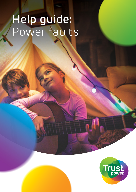# Help guide: Power faults

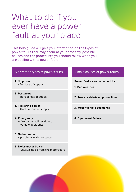## What to do if you ever have a power fault at your place

This help guide will give you information on the types of power faults that may occur at your property, possible causes and the procedures you should follow when you are dealing with a power fault.

- **1. No power** – full loss of supply
- **2. Part power**
- **3. Flickering power** – fluctuations of supply **3. Motor vehicle accidents**
- **4. Emergency** – fire damage, lines down, vehicle accidents
- **5. No hot water** – problems with hot water
- **6. Noisy meter board** – unusual noise from the meterboard

#### 6 different types of power faults 4 main causes of power faults

**Power faults can be caused by:**

- **1. Bad weather**
- partial loss of supply **2. Trees or debris on power lines**
	-
	- **4. Equipment failure**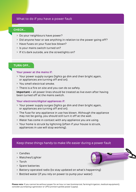#### What to do if you have a power fault

#### **CHECK…**

- > Do your neighbours have power?
- > Did anyone hear or see anything in relation to the power going off?
- > Have fuses on your fuse box blown?
- > Is your mains switch turned on?
- > If it's dark outside, are the streetlights on?

#### **TURN OFF…**

#### **Your power at the mains if:**

- > Your power supply surges (lights go dim and then bright again, or appliances are turning off and on).
- > You smell electrical smoke.
- > There is a fire on site and you can do so safely.

**Important –** all power lines should be treated as live even after having been turned off at the mains switch.

#### **Your electronic/digital appliances if:**

- > Your power supply surges (lights go dim and then bright again, or appliances are turning off and on).
- > The fuse for any appliance in use has blown. Although the appliance may not be going, you should still turn it off at the wall.
- > Water has come in contact with any appliance you are using.
- > Your home is struck by lightning (often if your house is struck, appliances in use will stop working).

#### Keep these things handy to make life easier during a power fault

- > Candles
- > Matches/Lighter
- > Torch
- > Spare batteries
- > Battery-operated radio (to stay updated on what's happening)
- > Bottled water (if you rely on power to pump your water)

**Please note:** If you cannot be without power for an hour or two (commercial, farming/irrigation, medical equipment), consider purchasing a generator or UPS (uninterruptible power supply).